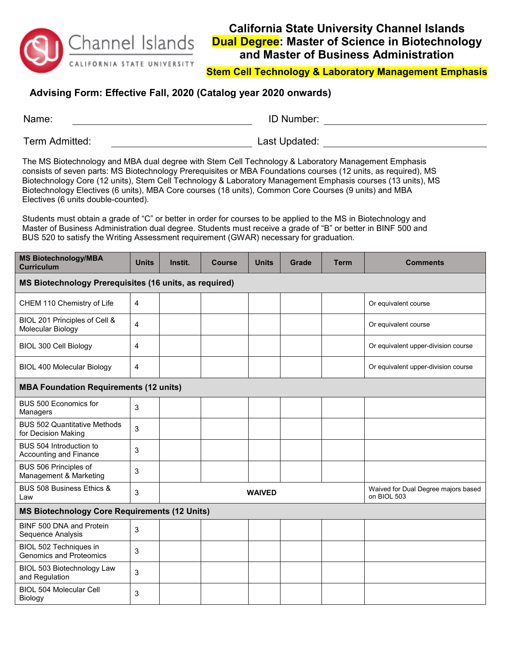

## **California State University Channel Islands Dual Degree: Master of Science in Biotechnology and Master of Business Administration**

**Stem Cell Technology & Laboratory Management Emphasis**

## **Advising Form: Effective Fall, 2020 (Catalog year 2020 onwards)**

| Name:          | <b>ID Number:</b> |
|----------------|-------------------|
| Term Admitted: | Last Updated:     |

The MS Biotechnology and MBA dual degree with Stem Cell Technology & Laboratory Management Emphasis consists of seven parts: MS Biotechnology Prerequisites or MBA Foundations courses (12 units, as required), MS Biotechnology Core (12 units), Stem Cell Technology & Laboratory Management Emphasis courses (13 units), MS Biotechnology Electives (6 units), MBA Core courses (18 units), Common Core Courses (9 units) and MBA Electives (6 units double-counted).

Students must obtain a grade of "C" or better in order for courses to be applied to the MS in Biotechnology and Master of Business Administration dual degree. Students must receive a grade of "B" or better in BINF 500 and BUS 520 to satisfy the Writing Assessment requirement (GWAR) necessary for graduation.

| <b>MS Biotechnology/MBA</b><br><b>Curriculum</b>           | <b>Units</b> | Instit. | Course        | <b>Units</b>                                       | Grade | <b>Term</b> | <b>Comments</b>                     |  |
|------------------------------------------------------------|--------------|---------|---------------|----------------------------------------------------|-------|-------------|-------------------------------------|--|
| MS Biotechnology Prerequisites (16 units, as required)     |              |         |               |                                                    |       |             |                                     |  |
| CHEM 110 Chemistry of Life                                 | 4            |         |               |                                                    |       |             | Or equivalent course                |  |
| BIOL 201 Principles of Cell &<br>Molecular Biology         | 4            |         |               |                                                    |       |             | Or equivalent course                |  |
| BIOL 300 Cell Biology                                      | 4            |         |               |                                                    |       |             | Or equivalent upper-division course |  |
| <b>BIOL 400 Molecular Biology</b>                          | 4            |         |               |                                                    |       |             | Or equivalent upper-division course |  |
| <b>MBA Foundation Requirements (12 units)</b>              |              |         |               |                                                    |       |             |                                     |  |
| BUS 500 Economics for<br>Managers                          | 3            |         |               |                                                    |       |             |                                     |  |
| <b>BUS 502 Quantitative Methods</b><br>for Decision Making | 3            |         |               |                                                    |       |             |                                     |  |
| BUS 504 Introduction to<br>Accounting and Finance          | 3            |         |               |                                                    |       |             |                                     |  |
| BUS 506 Principles of<br>Management & Marketing            | 3            |         |               |                                                    |       |             |                                     |  |
| BUS 508 Business Ethics &<br>Law                           | 3            |         | <b>WAIVED</b> | Waived for Dual Degree majors based<br>on BIOL 503 |       |             |                                     |  |
| <b>MS Biotechnology Core Requirements (12 Units)</b>       |              |         |               |                                                    |       |             |                                     |  |
| BINF 500 DNA and Protein<br>Sequence Analysis              | 3            |         |               |                                                    |       |             |                                     |  |
| BIOL 502 Techniques in<br><b>Genomics and Proteomics</b>   | 3            |         |               |                                                    |       |             |                                     |  |
| BIOL 503 Biotechnology Law<br>and Regulation               | 3            |         |               |                                                    |       |             |                                     |  |
| <b>BIOL 504 Molecular Cell</b><br>Biology                  | 3            |         |               |                                                    |       |             |                                     |  |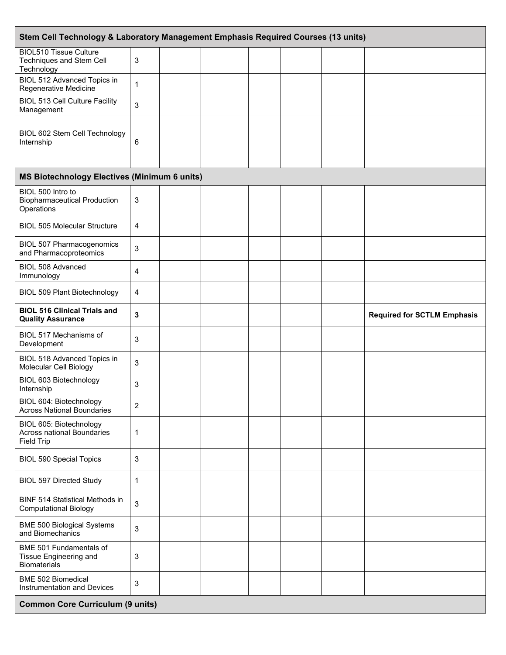| Stem Cell Technology & Laboratory Management Emphasis Required Courses (13 units) |              |  |  |  |  |  |                                    |
|-----------------------------------------------------------------------------------|--------------|--|--|--|--|--|------------------------------------|
| <b>BIOL510 Tissue Culture</b><br>Techniques and Stem Cell<br>Technology           | 3            |  |  |  |  |  |                                    |
| BIOL 512 Advanced Topics in<br>Regenerative Medicine                              | $\mathbf{1}$ |  |  |  |  |  |                                    |
| <b>BIOL 513 Cell Culture Facility</b><br>Management                               | 3            |  |  |  |  |  |                                    |
| BIOL 602 Stem Cell Technology<br>Internship                                       | 6            |  |  |  |  |  |                                    |
| <b>MS Biotechnology Electives (Minimum 6 units)</b>                               |              |  |  |  |  |  |                                    |
| BIOL 500 Intro to<br><b>Biopharmaceutical Production</b><br>Operations            | 3            |  |  |  |  |  |                                    |
| <b>BIOL 505 Molecular Structure</b>                                               | 4            |  |  |  |  |  |                                    |
| <b>BIOL 507 Pharmacogenomics</b><br>and Pharmacoproteomics                        | 3            |  |  |  |  |  |                                    |
| BIOL 508 Advanced<br>Immunology                                                   | 4            |  |  |  |  |  |                                    |
| <b>BIOL 509 Plant Biotechnology</b>                                               | 4            |  |  |  |  |  |                                    |
| <b>BIOL 516 Clinical Trials and</b><br><b>Quality Assurance</b>                   | 3            |  |  |  |  |  | <b>Required for SCTLM Emphasis</b> |
| BIOL 517 Mechanisms of<br>Development                                             | 3            |  |  |  |  |  |                                    |
| BIOL 518 Advanced Topics in<br>Molecular Cell Biology                             | 3            |  |  |  |  |  |                                    |
| BIOL 603 Biotechnology<br>Internship                                              | 3            |  |  |  |  |  |                                    |
| BIOL 604: Biotechnology<br><b>Across National Boundaries</b>                      | 2            |  |  |  |  |  |                                    |
| BIOL 605: Biotechnology<br>Across national Boundaries<br><b>Field Trip</b>        | 1            |  |  |  |  |  |                                    |
| <b>BIOL 590 Special Topics</b>                                                    | 3            |  |  |  |  |  |                                    |
| <b>BIOL 597 Directed Study</b>                                                    | 1            |  |  |  |  |  |                                    |
| <b>BINF 514 Statistical Methods in</b><br><b>Computational Biology</b>            | 3            |  |  |  |  |  |                                    |
| <b>BME 500 Biological Systems</b><br>and Biomechanics                             | 3            |  |  |  |  |  |                                    |
| BME 501 Fundamentals of<br>Tissue Engineering and<br><b>Biomaterials</b>          | 3            |  |  |  |  |  |                                    |
| <b>BME 502 Biomedical</b><br>Instrumentation and Devices                          | 3            |  |  |  |  |  |                                    |
| <b>Common Core Curriculum (9 units)</b>                                           |              |  |  |  |  |  |                                    |